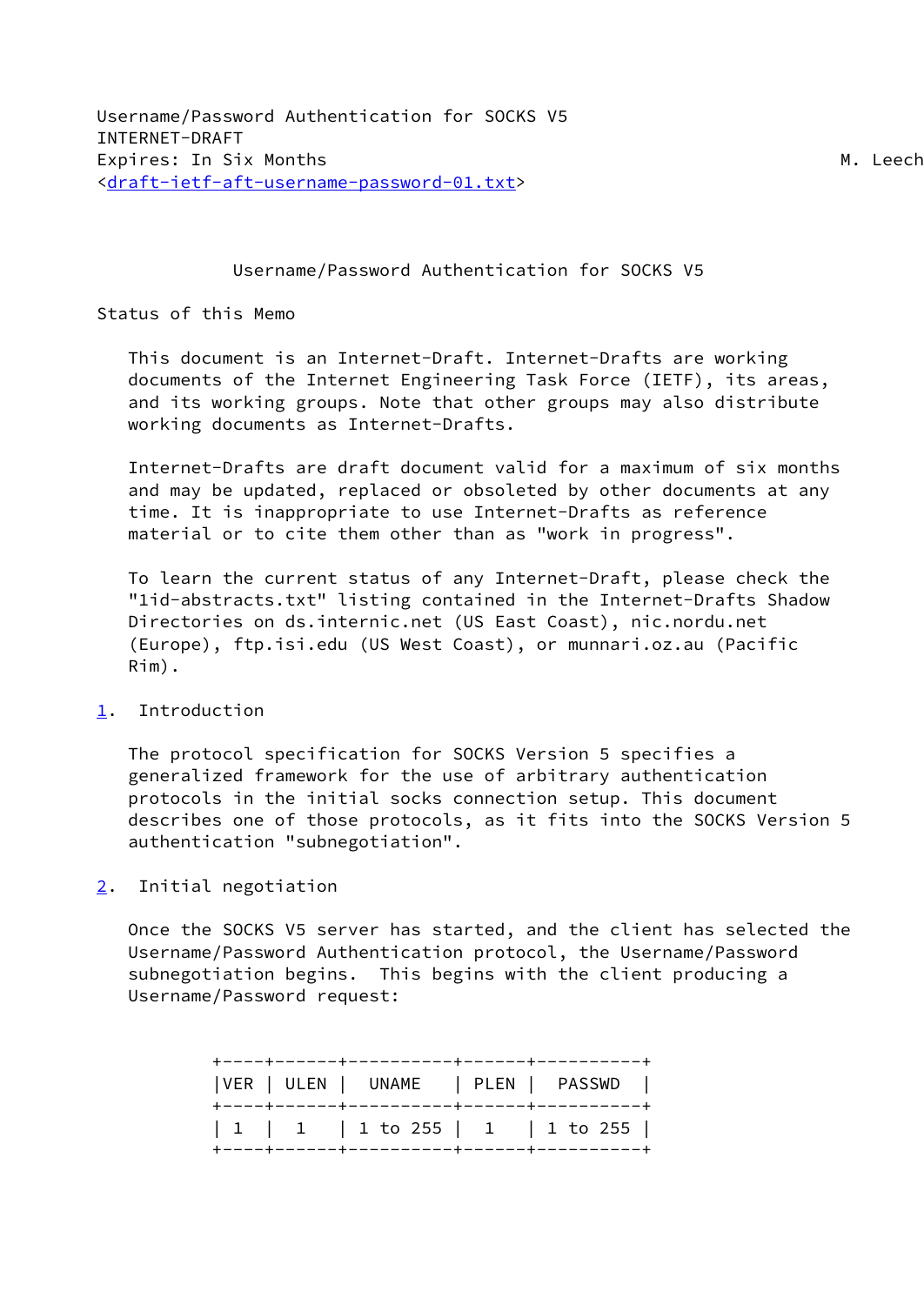## Username/Password Authentication for SOCKS V5

## Status of this Memo

 This document is an Internet-Draft. Internet-Drafts are working documents of the Internet Engineering Task Force (IETF), its areas, and its working groups. Note that other groups may also distribute working documents as Internet-Drafts.

 Internet-Drafts are draft document valid for a maximum of six months and may be updated, replaced or obsoleted by other documents at any time. It is inappropriate to use Internet-Drafts as reference material or to cite them other than as "work in progress".

 To learn the current status of any Internet-Draft, please check the "1id-abstracts.txt" listing contained in the Internet-Drafts Shadow Directories on ds.internic.net (US East Coast), nic.nordu.net (Europe), ftp.isi.edu (US West Coast), or munnari.oz.au (Pacific Rim).

## <span id="page-0-0"></span>[1](#page-0-0). Introduction

 The protocol specification for SOCKS Version 5 specifies a generalized framework for the use of arbitrary authentication protocols in the initial socks connection setup. This document describes one of those protocols, as it fits into the SOCKS Version 5 authentication "subnegotiation".

<span id="page-0-1"></span>[2](#page-0-1). Initial negotiation

 Once the SOCKS V5 server has started, and the client has selected the Username/Password Authentication protocol, the Username/Password subnegotiation begins. This begins with the client producing a Username/Password request:

|  | VER   ULEN   UNAME   PLEN   PASSWD            |  |  |
|--|-----------------------------------------------|--|--|
|  | $ 1 1$ $ 1$ $ 1$ to 255 $ 1 $ $ 1$ to 255 $ $ |  |  |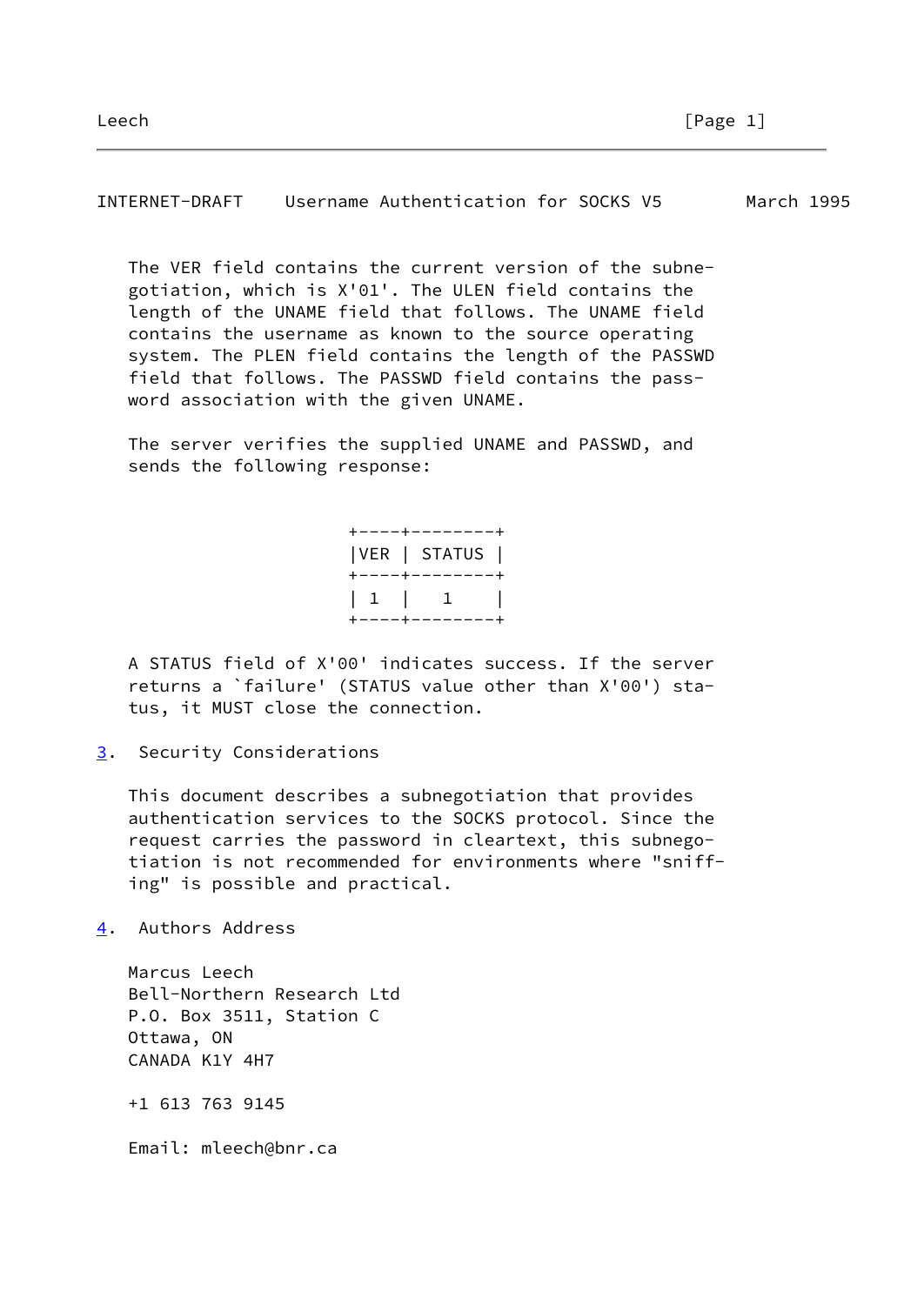INTERNET-DRAFT Username Authentication for SOCKS V5 March 1995

 The VER field contains the current version of the subne gotiation, which is X'01'. The ULEN field contains the length of the UNAME field that follows. The UNAME field contains the username as known to the source operating system. The PLEN field contains the length of the PASSWD field that follows. The PASSWD field contains the pass word association with the given UNAME.

 The server verifies the supplied UNAME and PASSWD, and sends the following response:

> +----+--------+ |VER | STATUS | +----+--------+ | 1 | 1 | +----+--------+

 A STATUS field of X'00' indicates success. If the server returns a `failure' (STATUS value other than X'00') sta tus, it MUST close the connection.

<span id="page-1-0"></span>[3](#page-1-0). Security Considerations

 This document describes a subnegotiation that provides authentication services to the SOCKS protocol. Since the request carries the password in cleartext, this subnego tiation is not recommended for environments where "sniff ing" is possible and practical.

<span id="page-1-1"></span>[4](#page-1-1). Authors Address

 Marcus Leech Bell-Northern Research Ltd P.O. Box 3511, Station C Ottawa, ON CANADA K1Y 4H7 +1 613 763 9145 Email: mleech@bnr.ca